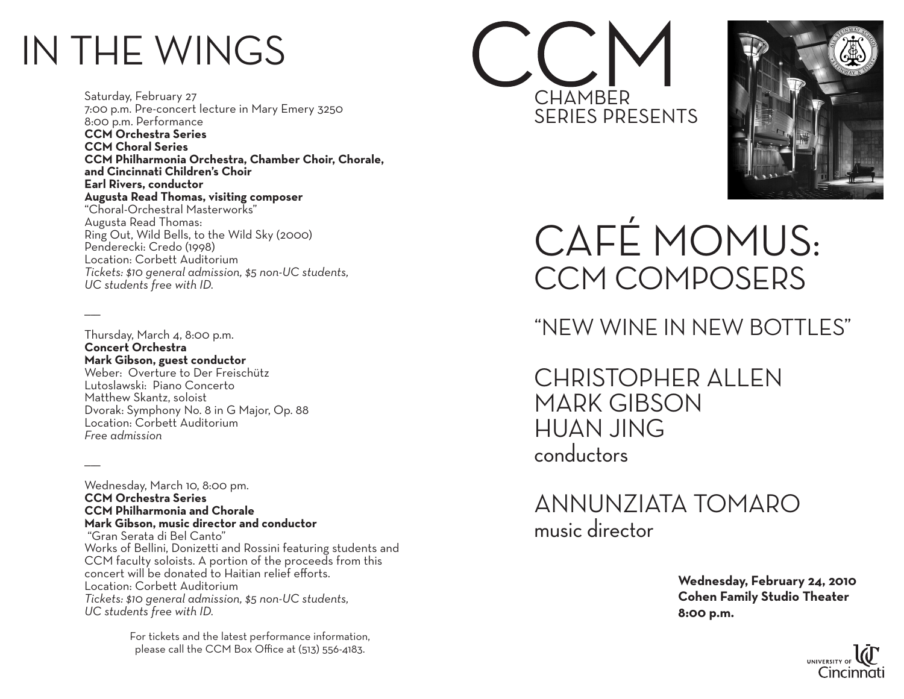# IN THE WINGS

 $\overline{\phantom{a}}$ 

 $\overline{\phantom{a}}$ 

Saturday, February 27 7:00 p.m. Pre-concert lecture in Mary Emery 3250 8:00 p.m. Performance **CCM Orchestra Series CCM Choral Series CCM Philharmonia Orchestra, Chamber Choir, Chorale, and Cincinnati Children's Choir Earl Rivers, conductor Augusta Read Thomas, visiting composer** "Choral-Orchestral Masterworks" Augusta Read Thomas: Ring Out, Wild Bells, to the Wild Sky (2000) Penderecki: Credo (1998) Location: Corbett Auditorium *Tickets: \$10 general admission, \$5 non-UC students, UC students free with ID.*

Thursday, March 4, 8:00 p.m. **Concert Orchestra Mark Gibson, guest conductor** Weber: Overture to Der Freischütz Lutoslawski: Piano Concerto Matthew Skantz, soloist Dvorak: Symphony No. 8 in G Major, Op. 88 Location: Corbett Auditorium *Free admission*

Wednesday, March 10, 8:00 pm. **CCM Orchestra Series CCM Philharmonia and Chorale Mark Gibson, music director and conductor** "Gran Serata di Bel Canto" Works of Bellini, Donizetti and Rossini featuring students and CCM faculty soloists. A portion of the proceeds from this concert will be donated to Haitian relief efforts. Location: Corbett Auditorium *Tickets: \$10 general admission, \$5 non-UC students, UC students free with ID.*

> For tickets and the latest performance information, please call the CCM Box Office at (513) 556-4183.





Café MoMus: CCM Composers

## "new wine in new bottles"

christopher allen mark gibson huan jing conductors

Annunziata Tomaro music director

> **Wednesday, February 24, 2010 Cohen Family Studio Theater 8:00 p.m.**